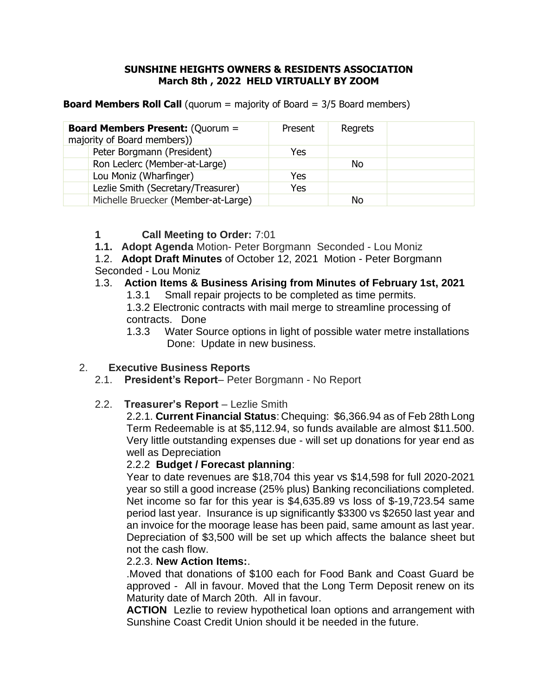#### **SUNSHINE HEIGHTS OWNERS & RESIDENTS ASSOCIATION March 8th , 2022 HELD VIRTUALLY BY ZOOM**

**Board Members Roll Call** (quorum = majority of Board = 3/5 Board members)

| <b>Board Members Present: (Quorum =</b><br>majority of Board members)) | Present | Regrets |  |
|------------------------------------------------------------------------|---------|---------|--|
| Peter Borgmann (President)                                             | Yes     |         |  |
| Ron Leclerc (Member-at-Large)                                          |         | No      |  |
| Lou Moniz (Wharfinger)                                                 | Yes     |         |  |
| Lezlie Smith (Secretary/Treasurer)                                     | Yes     |         |  |
| Michelle Bruecker (Member-at-Large)                                    |         | Nο      |  |

#### **1 Call Meeting to Order:** 7:01

- **1.1. Adopt Agenda** Motion- Peter Borgmann Seconded Lou Moniz
- 1.2. **Adopt Draft Minutes** of October 12, 2021 Motion Peter Borgmann Seconded - Lou Moniz

#### 1.3. **Action Items & Business Arising from Minutes of February 1st, 2021**

1.3.1 Small repair projects to be completed as time permits.

1.3.2 Electronic contracts with mail merge to streamline processing of contracts. Done

1.3.3 Water Source options in light of possible water metre installations Done: Update in new business.

## 2. **Executive Business Reports**

- 2.1. **President's Report** Peter Borgmann No Report
- 2.2. **Treasurer's Report** Lezlie Smith

2.2.1. **Current Financial Status**: Chequing: \$6,366.94 as of Feb 28th Long Term Redeemable is at \$5,112.94, so funds available are almost \$11.500. Very little outstanding expenses due - will set up donations for year end as well as Depreciation

## 2.2.2 **Budget / Forecast planning**:

Year to date revenues are \$18,704 this year vs \$14,598 for full 2020-2021 year so still a good increase (25% plus) Banking reconciliations completed. Net income so far for this year is \$4,635.89 vs loss of \$-19,723.54 same period last year. Insurance is up significantly \$3300 vs \$2650 last year and an invoice for the moorage lease has been paid, same amount as last year. Depreciation of \$3,500 will be set up which affects the balance sheet but not the cash flow.

#### 2.2.3. **New Action Items:**.

.Moved that donations of \$100 each for Food Bank and Coast Guard be approved - All in favour. Moved that the Long Term Deposit renew on its Maturity date of March 20th. All in favour.

**ACTION** Lezlie to review hypothetical loan options and arrangement with Sunshine Coast Credit Union should it be needed in the future.